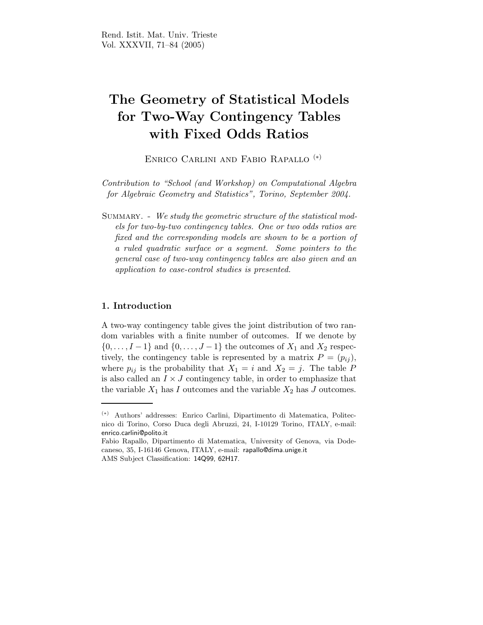# The Geometry of Statistical Models for Two-Way Contingency Tables with Fixed Odds Ratios

Enrico Carlini and Fabio Rapallo (∗)

Contribution to "School (and Workshop) on Computational Algebra for Algebraic Geometry and Statistics", Torino, September 2004.

SUMMARY. - We study the geometric structure of the statistical models for two-by-two contingency tables. One or two odds ratios are fixed and the corresponding models are shown to be a portion of a ruled quadratic surface or a segment. Some pointers to the general case of two-way contingency tables are also given and an application to case-control studies is presented.

### 1. Introduction

A two-way contingency table gives the joint distribution of two random variables with a finite number of outcomes. If we denote by  $\{0, \ldots, I-1\}$  and  $\{0, \ldots, J-1\}$  the outcomes of  $X_1$  and  $X_2$  respectively, the contingency table is represented by a matrix  $P = (p_{ij}),$ where  $p_{ij}$  is the probability that  $X_1 = i$  and  $X_2 = j$ . The table P is also called an  $I\times J$  contingency table, in order to emphasize that the variable  $X_1$  has I outcomes and the variable  $X_2$  has J outcomes.

<sup>(</sup>∗) Authors' addresses: Enrico Carlini, Dipartimento di Matematica, Politecnico di Torino, Corso Duca degli Abruzzi, 24, I-10129 Torino, ITALY, e-mail: enrico.carlini@polito.it

Fabio Rapallo, Dipartimento di Matematica, University of Genova, via Dodecaneso, 35, I-16146 Genova, ITALY, e-mail: rapallo@dima.unige.it AMS Subject Classification: 14Q99, 62H17.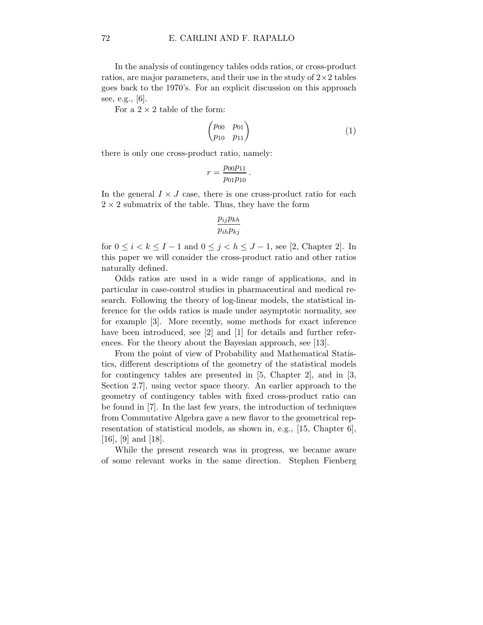In the analysis of contingency tables odds ratios, or cross-product ratios, are major parameters, and their use in the study of  $2 \times 2$  tables goes back to the 1970's. For an explicit discussion on this approach see, e.g., [6].

For a  $2 \times 2$  table of the form:

$$
\begin{pmatrix} p_{00} & p_{01} \\ p_{10} & p_{11} \end{pmatrix} \tag{1}
$$

there is only one cross-product ratio, namely:

$$
r = \frac{p_{00}p_{11}}{p_{01}p_{10}}.
$$

In the general  $I \times J$  case, there is one cross-product ratio for each  $2 \times 2$  submatrix of the table. Thus, they have the form

$$
\frac{p_{ij}p_{kh}}{p_{ih}p_{kj}}
$$

for  $0 \leq i < k \leq I-1$  and  $0 \leq j < h \leq J-1$ , see [2, Chapter 2]. In this paper we will consider the cross-product ratio and other ratios naturally defined.

Odds ratios are used in a wide range of applications, and in particular in case-control studies in pharmaceutical and medical research. Following the theory of log-linear models, the statistical inference for the odds ratios is made under asymptotic normality, see for example [3]. More recently, some methods for exact inference have been introduced, see [2] and [1] for details and further references. For the theory about the Bayesian approach, see [13].

From the point of view of Probability and Mathematical Statistics, different descriptions of the geometry of the statistical models for contingency tables are presented in [5, Chapter 2], and in [3, Section 2.7], using vector space theory. An earlier approach to the geometry of contingency tables with fixed cross-product ratio can be found in [7]. In the last few years, the introduction of techniques from Commutative Algebra gave a new flavor to the geometrical representation of statistical models, as shown in, e.g., [15, Chapter 6], [16], [9] and [18].

While the present research was in progress, we became aware of some relevant works in the same direction. Stephen Fienberg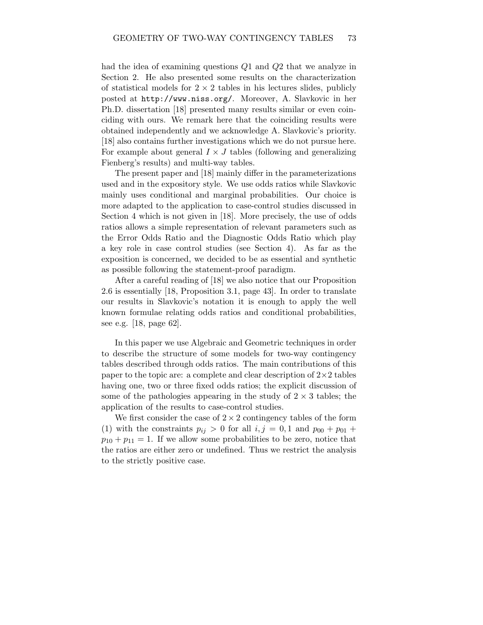had the idea of examining questions Q1 and Q2 that we analyze in Section 2. He also presented some results on the characterization of statistical models for  $2 \times 2$  tables in his lectures slides, publicly posted at http://www.niss.org/. Moreover, A. Slavkovic in her Ph.D. dissertation [18] presented many results similar or even coinciding with ours. We remark here that the coinciding results were obtained independently and we acknowledge A. Slavkovic's priority. [18] also contains further investigations which we do not pursue here. For example about general  $I \times J$  tables (following and generalizing Fienberg's results) and multi-way tables.

The present paper and [18] mainly differ in the parameterizations used and in the expository style. We use odds ratios while Slavkovic mainly uses conditional and marginal probabilities. Our choice is more adapted to the application to case-control studies discussed in Section 4 which is not given in [18]. More precisely, the use of odds ratios allows a simple representation of relevant parameters such as the Error Odds Ratio and the Diagnostic Odds Ratio which play a key role in case control studies (see Section 4). As far as the exposition is concerned, we decided to be as essential and synthetic as possible following the statement-proof paradigm.

After a careful reading of [18] we also notice that our Proposition 2.6 is essentially [18, Proposition 3.1, page 43]. In order to translate our results in Slavkovic's notation it is enough to apply the well known formulae relating odds ratios and conditional probabilities, see e.g. [18, page 62].

In this paper we use Algebraic and Geometric techniques in order to describe the structure of some models for two-way contingency tables described through odds ratios. The main contributions of this paper to the topic are: a complete and clear description of  $2 \times 2$  tables having one, two or three fixed odds ratios; the explicit discussion of some of the pathologies appearing in the study of  $2 \times 3$  tables; the application of the results to case-control studies.

We first consider the case of  $2 \times 2$  contingency tables of the form (1) with the constraints  $p_{ij} > 0$  for all  $i, j = 0, 1$  and  $p_{00} + p_{01} + p_{02}$  $p_{10} + p_{11} = 1$ . If we allow some probabilities to be zero, notice that the ratios are either zero or undefined. Thus we restrict the analysis to the strictly positive case.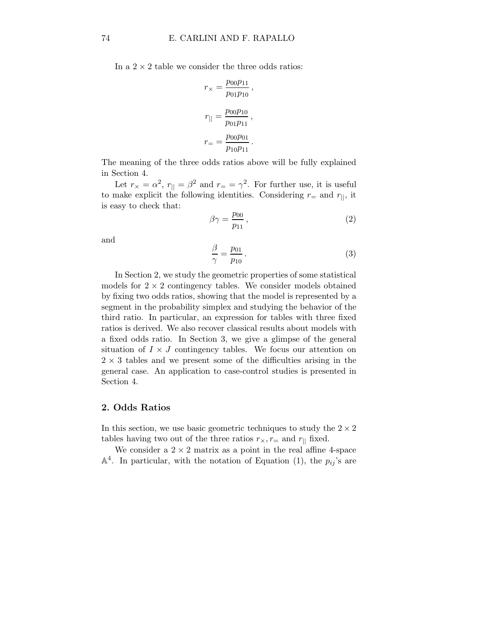In a  $2 \times 2$  table we consider the three odds ratios:

$$
r_{\times} = \frac{p_{00}p_{11}}{p_{01}p_{10}},
$$
  

$$
r_{||} = \frac{p_{00}p_{10}}{p_{01}p_{11}},
$$
  

$$
r_{=} = \frac{p_{00}p_{01}}{p_{10}p_{11}}.
$$

The meaning of the three odds ratios above will be fully explained in Section 4.

Let  $r_{\times} = \alpha^2$ ,  $r_{\parallel} = \beta^2$  and  $r_{\equiv} = \gamma^2$ . For further use, it is useful to make explicit the following identities. Considering  $r_{\pm}$  and  $r_{\parallel}$ , it is easy to check that:

$$
\beta \gamma = \frac{p_{00}}{p_{11}},\tag{2}
$$

and

$$
\frac{\beta}{\gamma} = \frac{p_{01}}{p_{10}}.
$$
\n(3)

In Section 2, we study the geometric properties of some statistical models for  $2 \times 2$  contingency tables. We consider models obtained by fixing two odds ratios, showing that the model is represented by a segment in the probability simplex and studying the behavior of the third ratio. In particular, an expression for tables with three fixed ratios is derived. We also recover classical results about models with a fixed odds ratio. In Section 3, we give a glimpse of the general situation of  $I \times J$  contingency tables. We focus our attention on  $2 \times 3$  tables and we present some of the difficulties arising in the general case. An application to case-control studies is presented in Section 4.

### 2. Odds Ratios

In this section, we use basic geometric techniques to study the  $2 \times 2$ tables having two out of the three ratios  $r_{\times}$ ,  $r_{\pm}$  and  $r_{\parallel}$  fixed.

We consider a  $2 \times 2$  matrix as a point in the real affine 4-space  $\mathbb{A}^4$ . In particular, with the notation of Equation (1), the  $p_{ij}$ 's are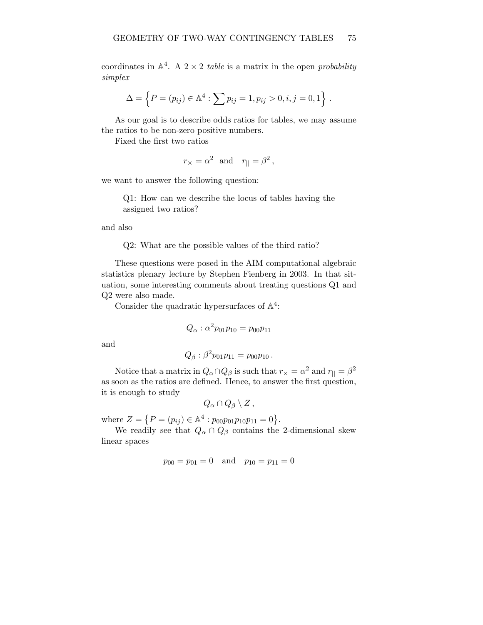coordinates in  $\mathbb{A}^4$ . A  $2 \times 2$  table is a matrix in the open probability simplex

$$
\Delta = \left\{ P = (p_{ij}) \in \mathbb{A}^4 : \sum p_{ij} = 1, p_{ij} > 0, i, j = 0, 1 \right\}.
$$

As our goal is to describe odds ratios for tables, we may assume the ratios to be non-zero positive numbers.

Fixed the first two ratios

$$
r_{\times} = \alpha^2
$$
 and  $r_{\parallel} = \beta^2$ ,

we want to answer the following question:

Q1: How can we describe the locus of tables having the assigned two ratios?

and also

Q2: What are the possible values of the third ratio?

These questions were posed in the AIM computational algebraic statistics plenary lecture by Stephen Fienberg in 2003. In that situation, some interesting comments about treating questions Q1 and Q2 were also made.

Consider the quadratic hypersurfaces of  $\mathbb{A}^4$ :

$$
Q_{\alpha} : \alpha^2 p_{01} p_{10} = p_{00} p_{11}
$$

and

$$
Q_{\beta} : \beta^2 p_{01} p_{11} = p_{00} p_{10} .
$$

Notice that a matrix in  $Q_{\alpha} \cap Q_{\beta}$  is such that  $r_{\times} = \alpha^2$  and  $r_{\parallel} = \beta^2$ as soon as the ratios are defined. Hence, to answer the first question, it is enough to study

$$
Q_{\alpha} \cap Q_{\beta} \setminus Z\,,
$$

where  $Z = \{ P = (p_{ij}) \in \mathbb{A}^4 : p_{00}p_{01}p_{10}p_{11} = 0 \}.$ 

We readily see that  $Q_{\alpha} \cap Q_{\beta}$  contains the 2-dimensional skew linear spaces

$$
p_{00} = p_{01} = 0
$$
 and  $p_{10} = p_{11} = 0$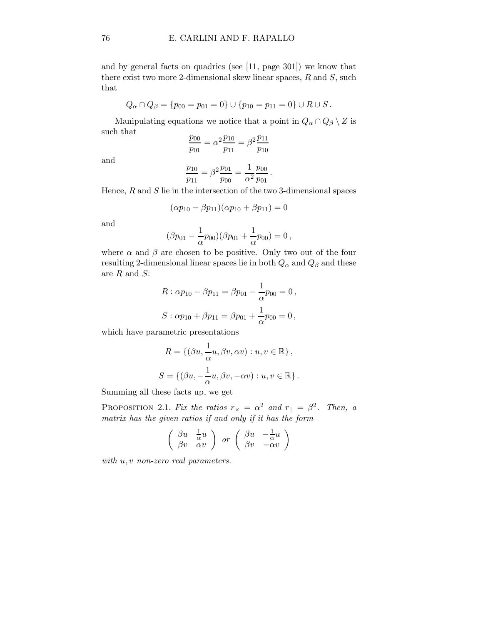and by general facts on quadrics (see [11, page 301]) we know that there exist two more 2-dimensional skew linear spaces,  $R$  and  $S$ , such that

$$
Q_{\alpha} \cap Q_{\beta} = \{p_{00} = p_{01} = 0\} \cup \{p_{10} = p_{11} = 0\} \cup R \cup S.
$$

Manipulating equations we notice that a point in  $Q_{\alpha} \cap Q_{\beta} \setminus Z$  is such that

$$
\frac{p_{00}}{p_{01}} = \alpha^2 \frac{p_{10}}{p_{11}} = \beta^2 \frac{p_{11}}{p_{10}}
$$

and

$$
\frac{p_{10}}{p_{11}} = \beta^2 \frac{p_{01}}{p_{00}} = \frac{1}{\alpha^2} \frac{p_{00}}{p_{01}}.
$$

Hence,  $R$  and  $S$  lie in the intersection of the two 3-dimensional spaces

$$
(\alpha p_{10} - \beta p_{11})(\alpha p_{10} + \beta p_{11}) = 0
$$

and

$$
(\beta p_{01} - \frac{1}{\alpha}p_{00})(\beta p_{01} + \frac{1}{\alpha}p_{00}) = 0,
$$

where  $\alpha$  and  $\beta$  are chosen to be positive. Only two out of the four resulting 2-dimensional linear spaces lie in both  $Q_{\alpha}$  and  $Q_{\beta}$  and these are  $R$  and  $S$ :

$$
R: \alpha p_{10} - \beta p_{11} = \beta p_{01} - \frac{1}{\alpha} p_{00} = 0,
$$
  

$$
S: \alpha p_{10} + \beta p_{11} = \beta p_{01} + \frac{1}{\alpha} p_{00} = 0,
$$

which have parametric presentations

$$
R = \{ (\beta u, \frac{1}{\alpha}u, \beta v, \alpha v) : u, v \in \mathbb{R} \},
$$
  

$$
S = \{ (\beta u, -\frac{1}{\alpha}u, \beta v, -\alpha v) : u, v \in \mathbb{R} \}.
$$

Summing all these facts up, we get

PROPOSITION 2.1. Fix the ratios  $r_{\times} = \alpha^2$  and  $r_{\parallel} = \beta^2$ . Then, a matrix has the given ratios if and only if it has the form

$$
\left(\begin{array}{cc}\n\beta u & \frac{1}{\alpha}u \\
\beta v & \alpha v\n\end{array}\right) \quad or \quad \left(\begin{array}{cc}\n\beta u & -\frac{1}{\alpha}u \\
\beta v & -\alpha v\n\end{array}\right)
$$

with  $u, v$  non-zero real parameters.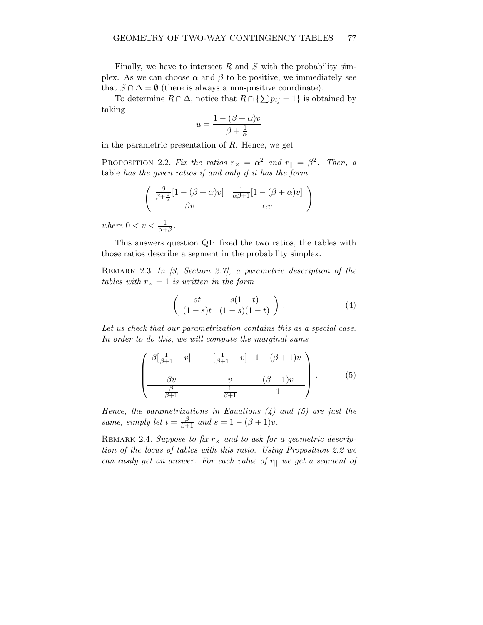Finally, we have to intersect  $R$  and  $S$  with the probability simplex. As we can choose  $\alpha$  and  $\beta$  to be positive, we immediately see that  $S \cap \Delta = \emptyset$  (there is always a non-positive coordinate).

To determine  $R \cap \Delta$ , notice that  $R \cap {\sum p_{ij} = 1}$  is obtained by taking

$$
u = \frac{1 - (\beta + \alpha)v}{\beta + \frac{1}{\alpha}}
$$

in the parametric presentation of R. Hence, we get

PROPOSITION 2.2. Fix the ratios  $r_{\times} = \alpha^2$  and  $r_{\parallel} = \beta^2$ . Then, a table has the given ratios if and only if it has the form

$$
\begin{pmatrix}\n\frac{\beta}{\beta + \frac{1}{\alpha}} [1 - (\beta + \alpha)v] & \frac{1}{\alpha \beta + 1} [1 - (\beta + \alpha)v] \\
\beta v & \alpha v\n\end{pmatrix}
$$

where  $0 < v < \frac{1}{\alpha + \beta}$ .

This answers question Q1: fixed the two ratios, the tables with those ratios describe a segment in the probability simplex.

REMARK 2.3. In  $\beta$ , Section 2.7, a parametric description of the tables with  $r_{\times} = 1$  is written in the form

$$
\left(\begin{array}{cc} st & s(1-t) \\ (1-s)t & (1-s)(1-t) \end{array}\right). \tag{4}
$$

Let us check that our parametrization contains this as a special case. In order to do this, we will compute the marginal sums

$$
\left(\begin{array}{cc} \beta\left[\frac{1}{\beta+1}-v\right] & \left[\frac{1}{\beta+1}-v\right] & 1-(\beta+1)v \\ \frac{\beta v}{\beta+1} & v & (\beta+1)v \\ \frac{\beta}{\beta+1} & \frac{1}{\beta+1} & 1 \end{array}\right). \tag{5}
$$

Hence, the parametrizations in Equations  $(4)$  and  $(5)$  are just the same, simply let  $t = \frac{\beta}{\beta+1}$  and  $s = 1 - (\beta + 1)v$ .

REMARK 2.4. Suppose to fix  $r_{\times}$  and to ask for a geometric description of the locus of tables with this ratio. Using Proposition 2.2 we can easily get an answer. For each value of  $r_{\parallel}$  we get a segment of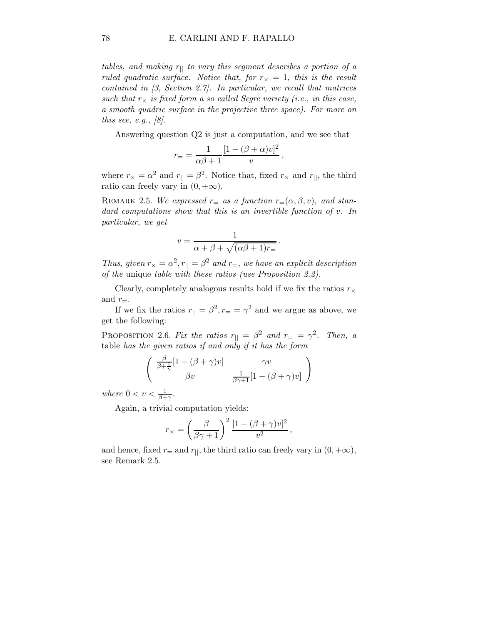tables, and making  $r_{\parallel}$  to vary this segment describes a portion of a ruled quadratic surface. Notice that, for  $r_{\times} = 1$ , this is the result contained in  $(3, Section 2.7)$ . In particular, we recall that matrices such that  $r_{\times}$  is fixed form a so called Segre variety (i.e., in this case, a smooth quadric surface in the projective three space). For more on this see, e.g.,  $\lbrack 8 \rbrack$ .

Answering question Q2 is just a computation, and we see that

,

.

$$
r_{=}=\frac{1}{\alpha\beta+1}\frac{[1-(\beta+\alpha)v]^2}{v}
$$

where  $r_{\times} = \alpha^2$  and  $r_{\parallel} = \beta^2$ . Notice that, fixed  $r_{\times}$  and  $r_{\parallel}$ , the third ratio can freely vary in  $(0, +\infty)$ .

REMARK 2.5. We expressed  $r_{\pm}$  as a function  $r_{\pm}(\alpha, \beta, v)$ , and standard computations show that this is an invertible function of v. In particular, we get

$$
v = \frac{1}{\alpha + \beta + \sqrt{(\alpha\beta + 1)r_{=}}}
$$

Thus, given  $r_{\times} = \alpha^2$ ,  $r_{\parallel} = \beta^2$  and  $r_{\equiv}$ , we have an explicit description of the unique table with these ratios (use Proposition 2.2).

Clearly, completely analogous results hold if we fix the ratios  $r_{\times}$ and  $r_{=}$ .

If we fix the ratios  $r_{\parallel} = \beta^2, r_{\equiv} = \gamma^2$  and we argue as above, we get the following:

PROPOSITION 2.6. Fix the ratios  $r_{\parallel} = \beta^2$  and  $r_{\equiv} = \gamma^2$ . Then, a table has the given ratios if and only if it has the form

$$
\begin{pmatrix}\n\frac{\beta}{\beta + \frac{1}{\gamma}} [1 - (\beta + \gamma)v] & \gamma v \\
\beta v & \frac{1}{\beta \gamma + 1} [1 - (\beta + \gamma)v]\n\end{pmatrix}
$$

where  $0 < v < \frac{1}{\beta + \gamma}$ .

Again, a trivial computation yields:

$$
r_{\times} = \left(\frac{\beta}{\beta\gamma + 1}\right)^2 \frac{[1 - (\beta + \gamma)v]^2}{v^2},
$$

and hence, fixed  $r_{\pm}$  and  $r_{\parallel}$ , the third ratio can freely vary in  $(0, +\infty)$ , see Remark 2.5.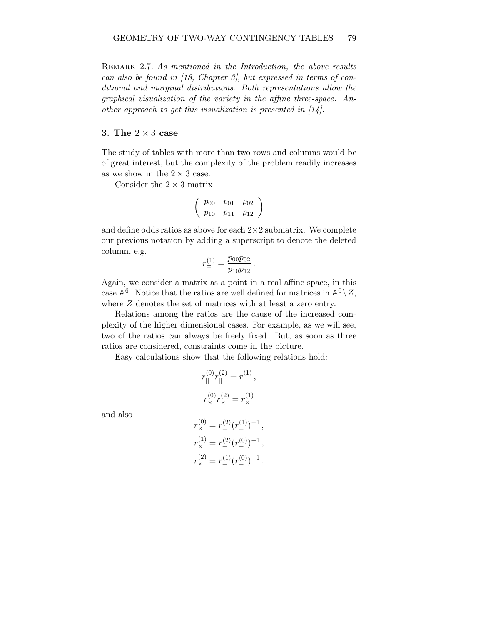REMARK 2.7. As mentioned in the Introduction, the above results can also be found in [18, Chapter 3], but expressed in terms of conditional and marginal distributions. Both representations allow the graphical visualization of the variety in the affine three-space. Another approach to get this visualization is presented in  $[14]$ .

#### 3. The  $2 \times 3$  case

The study of tables with more than two rows and columns would be of great interest, but the complexity of the problem readily increases as we show in the  $2 \times 3$  case.

Consider the  $2 \times 3$  matrix

$$
\left(\begin{array}{ccc} p_{00} & p_{01} & p_{02} \\ p_{10} & p_{11} & p_{12} \end{array}\right)
$$

and define odds ratios as above for each  $2\times 2$  submatrix. We complete our previous notation by adding a superscript to denote the deleted column, e.g.

$$
r^{(1)}_{=}=\frac{p_{00}p_{02}}{p_{10}p_{12}}\,.
$$

Again, we consider a matrix as a point in a real affine space, in this case  $\mathbb{A}^6$ . Notice that the ratios are well defined for matrices in  $\mathbb{A}^6 \setminus Z$ , where  $Z$  denotes the set of matrices with at least a zero entry.

Relations among the ratios are the cause of the increased complexity of the higher dimensional cases. For example, as we will see, two of the ratios can always be freely fixed. But, as soon as three ratios are considered, constraints come in the picture.

Easy calculations show that the following relations hold:

$$
r_{||}^{(0)}r_{||}^{(2)} = r_{||}^{(1)},
$$
  

$$
r_{\times}^{(0)}r_{\times}^{(2)} = r_{\times}^{(1)}
$$

and also

$$
\begin{split} r_\times^{(0)} &= r^{(2)}_=(r^{(1)}_-)^{-1}\,,\\ r_\times^{(1)} &= r^{(2)}_=(r^{(0)}_-)^{-1}\,,\\ r_\times^{(2)} &= r^{(1)}_=(r^{(0)}_-)^{-1}\,. \end{split}
$$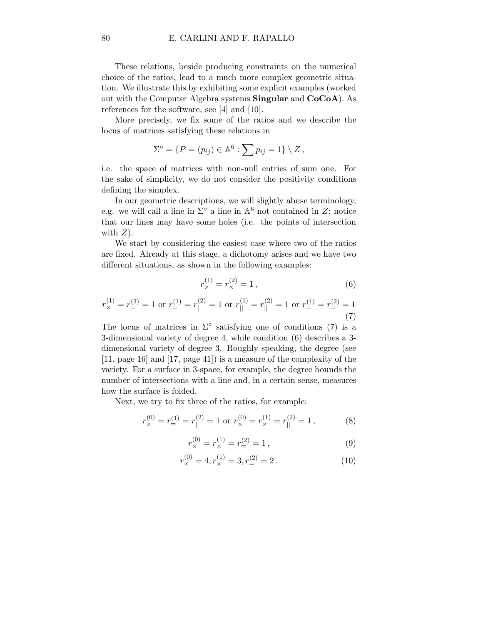These relations, beside producing constraints on the numerical choice of the ratios, lead to a much more complex geometric situation. We illustrate this by exhibiting some explicit examples (worked out with the Computer Algebra systems Singular and CoCoA). As references for the software, see [4] and [10].

More precisely, we fix some of the ratios and we describe the locus of matrices satisfying these relations in

$$
\Sigma^{\circ} = \{ P = (p_{ij}) \in \mathbb{A}^6 : \sum p_{ij} = 1 \} \setminus Z,
$$

i.e. the space of matrices with non-null entries of sum one. For the sake of simplicity, we do not consider the positivity conditions defining the simplex.

In our geometric descriptions, we will slightly abuse terminology, e.g. we will call a line in  $\Sigma^{\circ}$  a line in  $\mathbb{A}^{6}$  not contained in  $Z$ ; notice that our lines may have some holes (i.e. the points of intersection with  $Z$ ).

We start by considering the easiest case where two of the ratios are fixed. Already at this stage, a dichotomy arises and we have two different situations, as shown in the following examples:

$$
r_{\times}^{(1)} = r_{\times}^{(2)} = 1, \tag{6}
$$

$$
r_{\times}^{(1)} = r_{\Xi}^{(2)} = 1 \text{ or } r_{\Xi}^{(1)} = r_{||}^{(2)} = 1 \text{ or } r_{||}^{(1)} = r_{||}^{(2)} = 1 \text{ or } r_{\Xi}^{(1)} = r_{\Xi}^{(2)} = 1
$$
\n(7)

The locus of matrices in  $\Sigma^{\circ}$  satisfying one of conditions (7) is a 3-dimensional variety of degree 4, while condition (6) describes a 3 dimensional variety of degree 3. Roughly speaking, the degree (see [11, page 16] and [17, page 41]) is a measure of the complexity of the variety. For a surface in 3-space, for example, the degree bounds the number of intersections with a line and, in a certain sense, measures how the surface is folded.

Next, we try to fix three of the ratios, for example:

$$
r_{\times}^{(0)} = r_{\equiv}^{(1)} = r_{||}^{(2)} = 1 \text{ or } r_{\times}^{(0)} = r_{\times}^{(1)} = r_{||}^{(2)} = 1,
$$
 (8)

$$
r_{\times}^{(0)} = r_{\times}^{(1)} = r_{\equiv}^{(2)} = 1, \tag{9}
$$

$$
r_{\times}^{(0)} = 4, r_{\times}^{(1)} = 3, r_{=}^{(2)} = 2.
$$
 (10)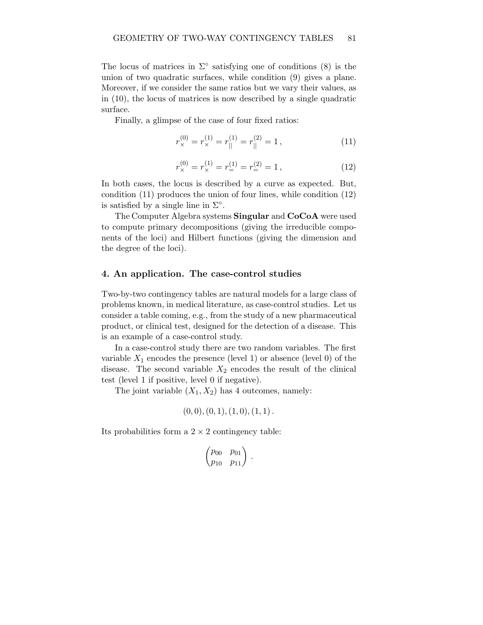The locus of matrices in  $\Sigma^{\circ}$  satisfying one of conditions (8) is the union of two quadratic surfaces, while condition (9) gives a plane. Moreover, if we consider the same ratios but we vary their values, as in (10), the locus of matrices is now described by a single quadratic surface.

Finally, a glimpse of the case of four fixed ratios:

$$
r_{\times}^{(0)} = r_{\times}^{(1)} = r_{||}^{(1)} = r_{||}^{(2)} = 1, \qquad (11)
$$

$$
r_{\times}^{(0)} = r_{\times}^{(1)} = r_{\equiv}^{(1)} = r_{\equiv}^{(2)} = 1, \qquad (12)
$$

In both cases, the locus is described by a curve as expected. But, condition (11) produces the union of four lines, while condition (12) is satisfied by a single line in  $\Sigma^{\circ}$ .

The Computer Algebra systems Singular and CoCoA were used to compute primary decompositions (giving the irreducible components of the loci) and Hilbert functions (giving the dimension and the degree of the loci).

## 4. An application. The case-control studies

Two-by-two contingency tables are natural models for a large class of problems known, in medical literature, as case-control studies. Let us consider a table coming, e.g., from the study of a new pharmaceutical product, or clinical test, designed for the detection of a disease. This is an example of a case-control study.

In a case-control study there are two random variables. The first variable  $X_1$  encodes the presence (level 1) or absence (level 0) of the disease. The second variable  $X_2$  encodes the result of the clinical test (level 1 if positive, level 0 if negative).

The joint variable  $(X_1, X_2)$  has 4 outcomes, namely:

$$
(0,0), (0,1), (1,0), (1,1).
$$

Its probabilities form a  $2 \times 2$  contingency table:

$$
\begin{pmatrix} p_{00} & p_{01} \\ p_{10} & p_{11} \end{pmatrix}
$$

.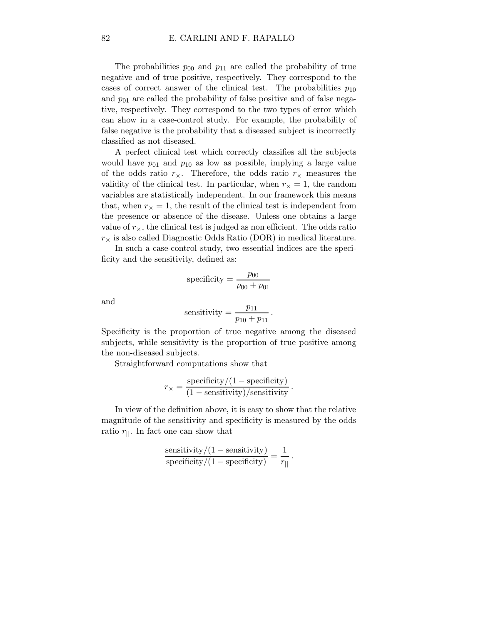The probabilities  $p_{00}$  and  $p_{11}$  are called the probability of true negative and of true positive, respectively. They correspond to the cases of correct answer of the clinical test. The probabilities  $p_{10}$ and  $p_{01}$  are called the probability of false positive and of false negative, respectively. They correspond to the two types of error which can show in a case-control study. For example, the probability of false negative is the probability that a diseased subject is incorrectly classified as not diseased.

A perfect clinical test which correctly classifies all the subjects would have  $p_{01}$  and  $p_{10}$  as low as possible, implying a large value of the odds ratio  $r_{\times}$ . Therefore, the odds ratio  $r_{\times}$  measures the validity of the clinical test. In particular, when  $r_{\times} = 1$ , the random variables are statistically independent. In our framework this means that, when  $r_{\times} = 1$ , the result of the clinical test is independent from the presence or absence of the disease. Unless one obtains a large value of  $r_{\times}$ , the clinical test is judged as non efficient. The odds ratio  $r_{\times}$  is also called Diagnostic Odds Ratio (DOR) in medical literature.

In such a case-control study, two essential indices are the specificity and the sensitivity, defined as:

specificity 
$$
=
$$
  $\frac{p_{00}}{p_{00} + p_{01}}$ 

and

sensitivity = 
$$
\frac{p_{11}}{p_{10} + p_{11}}
$$
.

Specificity is the proportion of true negative among the diseased subjects, while sensitivity is the proportion of true positive among the non-diseased subjects.

Straightforward computations show that

$$
r_{\times} = \frac{\text{specificity}/(1 - \text{specificity})}{(1 - \text{sensitivity})/\text{sensitivity}}.
$$

In view of the definition above, it is easy to show that the relative magnitude of the sensitivity and specificity is measured by the odds ratio  $r_{\parallel}$ . In fact one can show that

$$
\frac{\text{sensitivity}}{\text{specificity}/(1-\text{specificity})} = \frac{1}{r_{||}}.
$$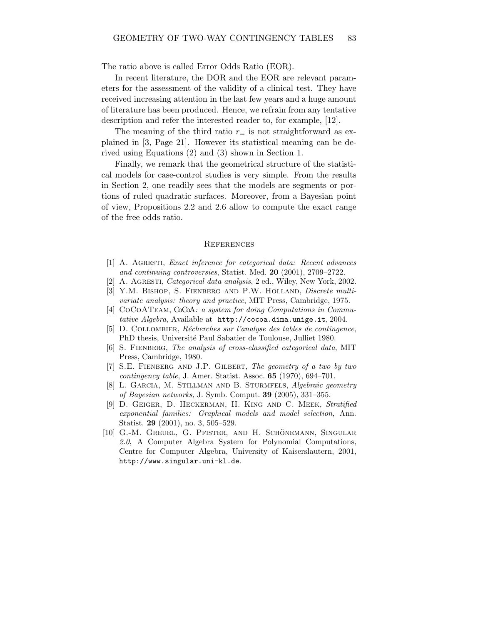The ratio above is called Error Odds Ratio (EOR).

In recent literature, the DOR and the EOR are relevant parameters for the assessment of the validity of a clinical test. They have received increasing attention in the last few years and a huge amount of literature has been produced. Hence, we refrain from any tentative description and refer the interested reader to, for example, [12].

The meaning of the third ratio  $r_{\pm}$  is not straightforward as explained in [3, Page 21]. However its statistical meaning can be derived using Equations (2) and (3) shown in Section 1.

Finally, we remark that the geometrical structure of the statistical models for case-control studies is very simple. From the results in Section 2, one readily sees that the models are segments or portions of ruled quadratic surfaces. Moreover, from a Bayesian point of view, Propositions 2.2 and 2.6 allow to compute the exact range of the free odds ratio.

#### **REFERENCES**

- [1] A. Agresti, Exact inference for categorical data: Recent advances and continuing controversies, Statist. Med. 20 (2001), 2709–2722.
- [2] A. AGRESTI, *Categorical data analysis*, 2 ed., Wiley, New York, 2002.
- [3] Y.M. BISHOP, S. FIENBERG AND P.W. HOLLAND, Discrete multivariate analysis: theory and practice, MIT Press, Cambridge, 1975.
- [4] COCOATEAM, CoCoA: a system for doing Computations in Commutative Algebra, Available at http://cocoa.dima.unige.it, 2004.
- [5] D. COLLOMBIER, Récherches sur l'analyse des tables de contingence, PhD thesis, Université Paul Sabatier de Toulouse, Julliet 1980.
- [6] S. FIENBERG, The analysis of cross-classified categorical data, MIT Press, Cambridge, 1980.
- [7] S.E. Fienberg and J.P. Gilbert, The geometry of a two by two  $contingency \ table$ , J. Amer. Statist. Assoc. **65** (1970), 694–701.
- [8] L. GARCIA, M. STILLMAN AND B. STURMFELS, Algebraic geometry of Bayesian networks, J. Symb. Comput. 39 (2005), 331–355.
- [9] D. GEIGER, D. HECKERMAN, H. KING AND C. MEEK, Stratified exponential families: Graphical models and model selection, Ann. Statist. 29 (2001), no. 3, 505–529.
- [10] G.-M. GREUEL, G. PFISTER, AND H. SCHÖNEMANN, SINGULAR 2.0, A Computer Algebra System for Polynomial Computations, Centre for Computer Algebra, University of Kaiserslautern, 2001, http://www.singular.uni-kl.de.